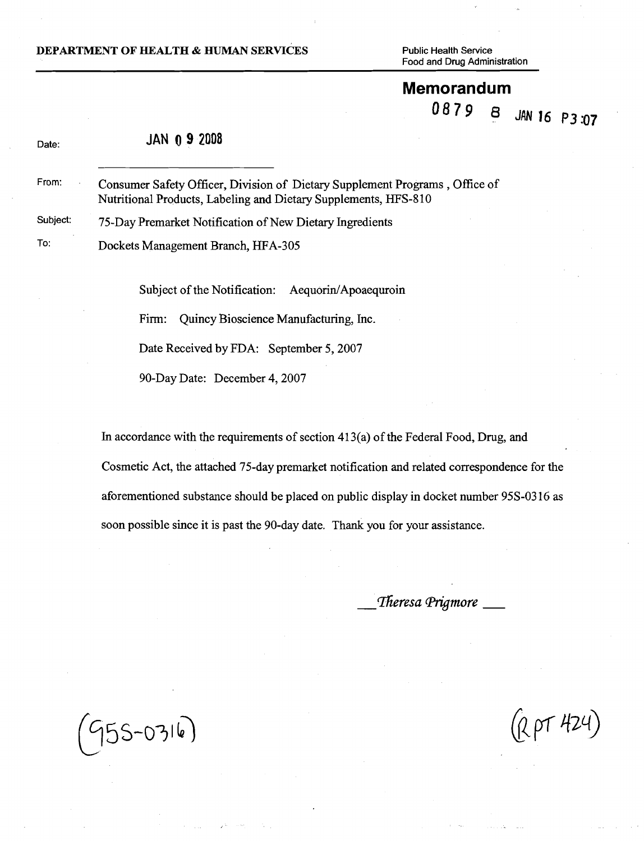#### **DEPARTMENT OF HEALTH & HUMAN SERVICES** Public Health Service

**Food and Drug Administration** 

#### **Memorandum**  0879 8

JAN 16 P3:07

| Date:    | <b>JAN 0 9 2008</b>                                                                                                                            |
|----------|------------------------------------------------------------------------------------------------------------------------------------------------|
| From:    | Consumer Safety Officer, Division of Dietary Supplement Programs, Office of<br>Nutritional Products, Labeling and Dietary Supplements, HFS-810 |
| Subject: | 75-Day Premarket Notification of New Dietary Ingredients                                                                                       |
| To:      | Dockets Management Branch, HFA-305                                                                                                             |

Subject of the Notification: Aequorin/Apoaequroin

Firm: Quincy Bioscience Manufacturing, Inc.

Date Received by FDA: September 5, 2007

90-Day Date: December 4,2007

In accordance with the requirements of section 413(a) of the Federal Food, Drug, and Cosmetic Act, the attached 75-day premarket notification and related correspondence for the aforementioned substance should be placed on public display in docket number 95s-03 16 as soon possible since it is past the 90-day date. Thank you for your assistance.

Theresa Prigmore  $\_\_$ 

 $955 - 0316$ 

(R pT 424)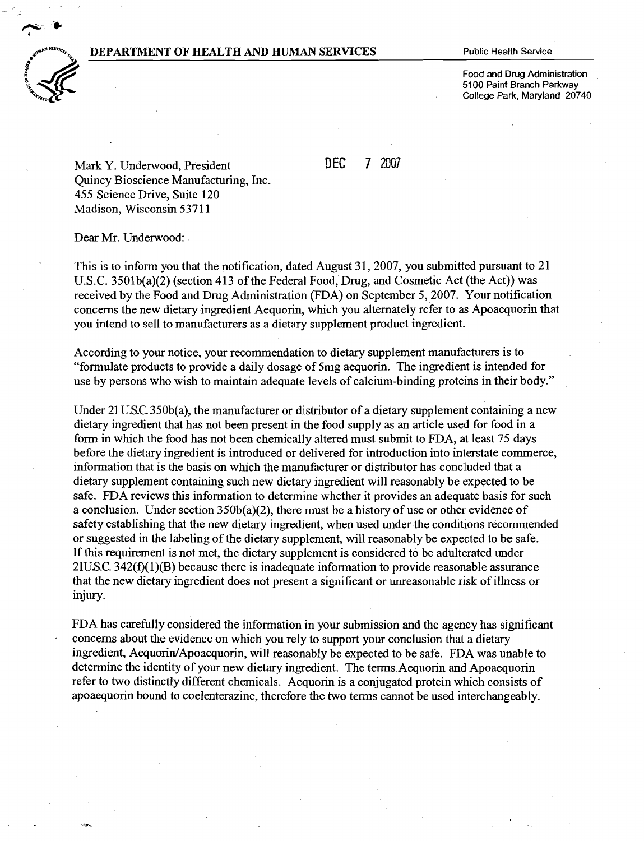#### **DEPARTMENT OF HEALTH AND HUMAN SERVICES** Public Health Service



**Food and Drug Administration 5100 Paint Branch Parkway College Park, Maryland 20740** 

Mark *Y.*Underwood, President **DEC** 7 2007 Quincy Bioscience Manufacturing, Inc. 455 Science Drive, Suite 120 Madison, Wisconsin 5371 1

Dear Mr. Underwood:

This is to inform you that the notification, dated August 31, 2007, you submitted pursuant to 21 U.S.C. 3501b(a)(2) (section 413 of the Federal Food, Drug, and Cosmetic Act (the Act)) was received by the Food and Drug Administration (FDA) on September 5,2007. Your notification concerns the new dietary ingredient Aequorin, which you alternately refer to as Apoaequorin that you intend to sell to manufacturers as a dietary supplement product ingredient.

According to your notice, your recommendation to dietary supplement manufacturers is to "formulate products to provide a daily dosage of 5mg aequorin. The ingredient is intended for use by persons who wish to maintain adequate levels of calcium-binding proteins in their body."

Under 21 U.S.C. 350b(a), the manufacturer or distributor of a dietary supplement containing a new dietary ingredient that has not been present in the food supply as an article used for food in a form in which the food has not been chemically altered must submit to FDA, at least 75 days before the dietary ingredient is introduced or delivered for introduction into interstate commerce, information that is the basis on which the manufacturer or distributor has concluded that a dietary supplement containing such new dietary ingredient will reasonably be expected to be safe. FDA reviews this information to determine whether it provides an adequate basis for such a conclusion. Under section 350b(a)(2), there must be a history of use or other evidence of safety establishing that the new dietary ingredient, when used under the conditions recommended or suggested in the labeling of the dietary supplement, will reasonably be expected to be safe. If this requirement is not met, the dietary supplement is considered to be adulterated under  $21$ US.C. 342(f)(1)(B) because there is inadequate information to provide reasonable assurance that the new dietary ingredient does not present a significant or unreasonable risk of illness or injury.

FDA has carefully considered the information in your submission and the agency has significant concerns about the evidence on which you rely to support your conclusion that a dietary ingredient, Aequorin/Apoaequorin, will reasonably be expected to be safe. FDA was unable to determine the identity of your new dietary ingredient. The terms Aequorin and Apoaequorin refer to two distinctly different chemicals. Aequorin is a conjugated protein which consists of apoaequorin bound to coelenterazine, therefore the two terms cannot be used interchangeably.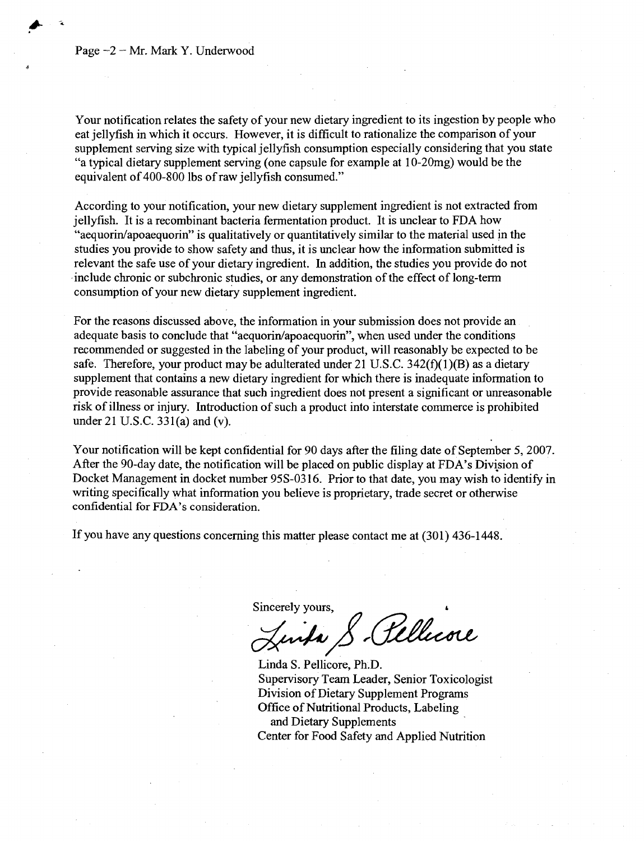#### Page  $-2$  – Mr. Mark Y. Underwood

Your notification relates the safety of your new dietary ingredient to its ingestion by people who eat jellyfish in which it occurs. However, it is difficult to rationalize the comparison of your supplement serving size with typical jellyfish consumption especially considering that you state "a typical dietary supplement serving (one capsule for example at 10-20mg) would be the equivalent of 400-800 lbs of raw jellyfish consumed."

According to your notification, your new dietary supplement ingredient is not extracted from jellyfish. It is a recombinant bacteria fermentation product. It is unclear to FDA how "aequorin/apoaequorin" is qualitatively or quantitatively similar to the material used in the studies you provide to show safety and thus, it is unclear how the information submitted is relevant the safe use of your dietary ingredient. In addition, the studies you provide do not include chronic or subchronic studies, or any demonstration of the effect of long-term consumption of your new dietary supplement ingredient.

For the reasons discussed above, the information in your submission does not provide an adequate basis to conclude that "aequorin/apoaequorin", when used under the conditions recommended or suggested in the labeling of your product, will reasonably be expected to be safe. Therefore, your product may be adulterated under 21 U.S.C.  $342(f)(1)(B)$  as a dietary supplement that contains a new dietary ingredient for which there is inadequate information to provide reasonable assurance that such ingredient does not present a significant or unreasonable risk of illness or injury. Introduction of such a product into interstate commerce is prohibited under 21 U.S.C. 331(a) and (v).

Your notification will be kept confidential for 90 days after the filing date of September 5,2007. After the 90-day date, the notification will be placed on public display at FDA's Division of Docket Management in docket number 95S-03 16. Prior to that date, you may wish to identify in writing specifically what information you believe is proprietary, trade secret or otherwise confidential for FDA's consideration.

If you have any questions concerning this matter please contact me at (301) 436-1448.

Sincerely yours,

Rellicore unda S

Linda S. Pellicore, Ph.D. Supervisory Team Leader, Senior Toxicologist Division of Dietary Supplement Programs Office of Nutritional Products, Labeling and Dietary Supplements Center for Food Safety and Applied Nutrition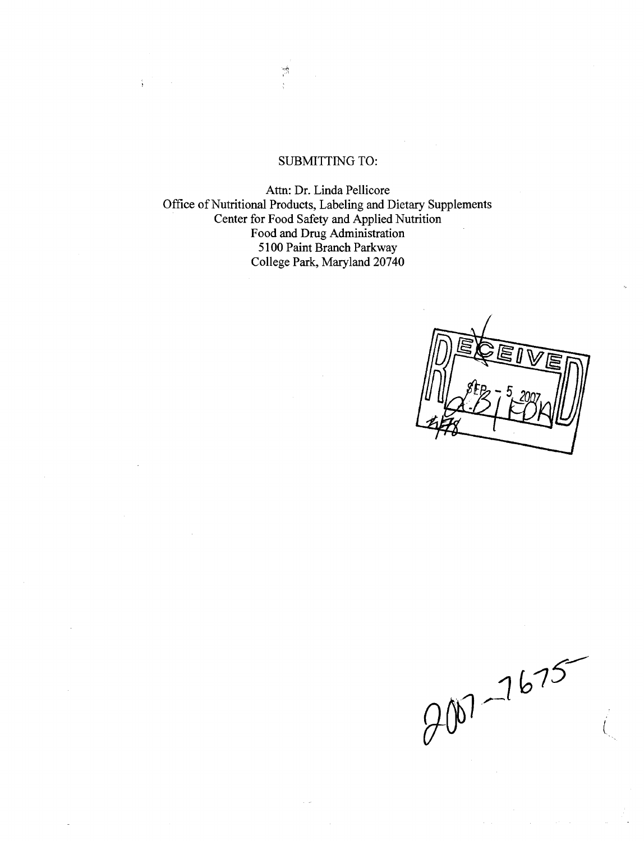## SUBMITTING TO:

 $\frac{1}{\sqrt{2}}$ 

š,

Attn: Dr. Linda Pellicore Office of Nutritional Products, Labeling and Dietary Supplements Center for Food Safety and Applied Nutrition Food and Drug Administration 5100 Paint Branch Parkway College Park, Maryland 20740

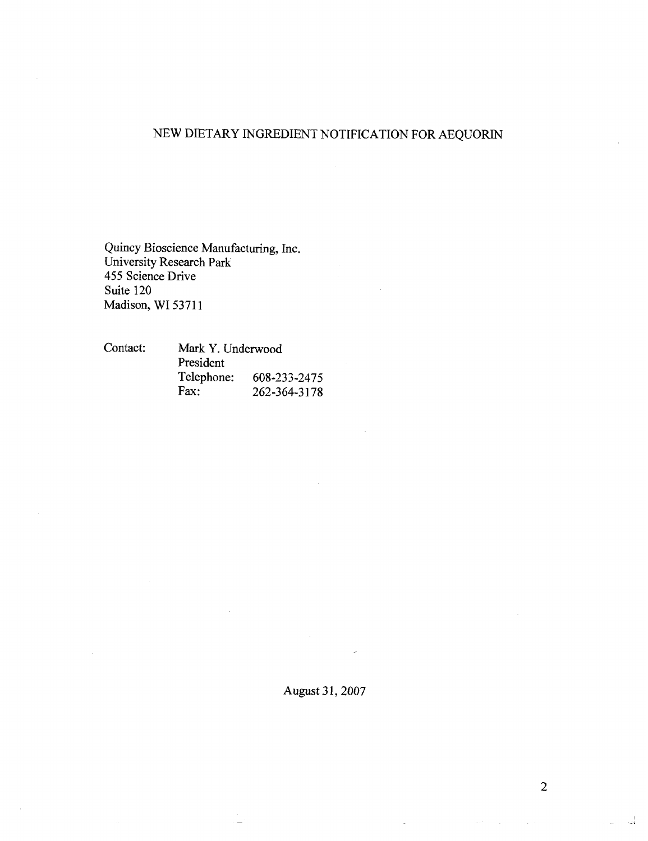## NEW DIETARY INGREDIENT NOTIFICATION FOR AEQUORIN

Quincy Bioscience Manufacturing, Inc. University Research Park 455 Science Drive Suite 120 Madison, WI 53711

| Contact: | Mark Y. Underwood |              |
|----------|-------------------|--------------|
|          | President         |              |
|          | Telephone:        | 608-233-2475 |
|          | Fax:              | 262-364-3178 |

## August **3** 1,2007

 $\sim 10^{11}$ 

 $\Delta m_{\rm{eff}}=2.0$ 

 $\frac{1}{2}$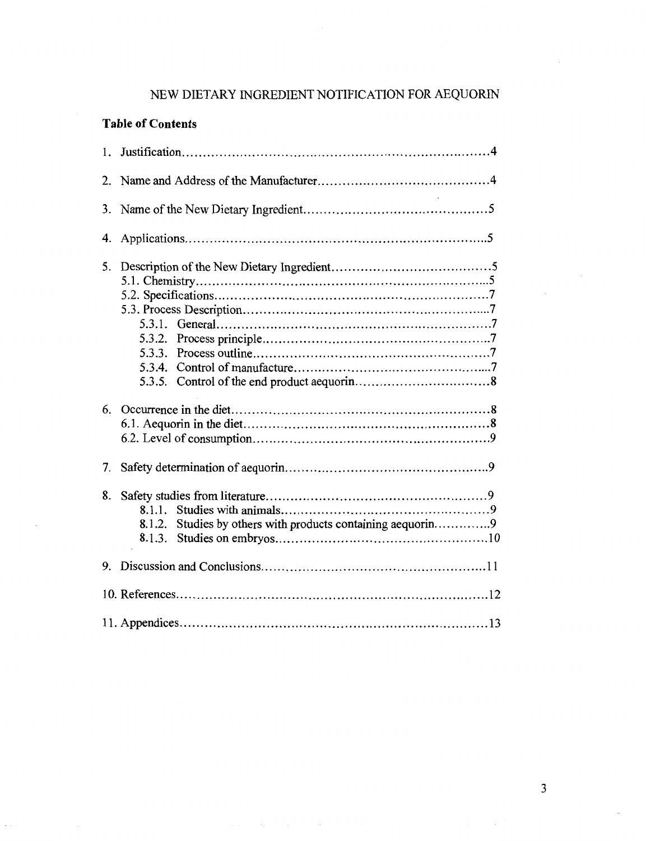# NEW DIETARY INGREDIENT NOTIFICATION FOR AEQUORIN

## **Table of Contents**

 $\epsilon$ 

| 1. |                                                                                    |  |  |
|----|------------------------------------------------------------------------------------|--|--|
| 2. |                                                                                    |  |  |
| 3. |                                                                                    |  |  |
| 4. |                                                                                    |  |  |
| 5. | 5.3.3.<br>5.3.4.<br>5.3.5.                                                         |  |  |
|    |                                                                                    |  |  |
| 7. |                                                                                    |  |  |
| 8. | 8.1.1.<br>Studies by others with products containing aequorin9<br>8.1.2.<br>8.1.3. |  |  |
| 9. |                                                                                    |  |  |
|    |                                                                                    |  |  |
|    |                                                                                    |  |  |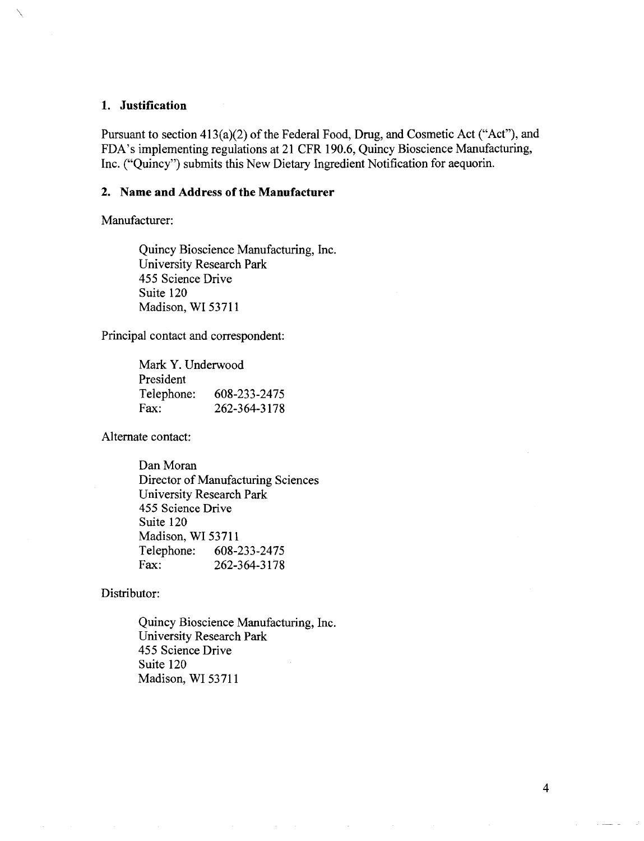### **1. Justification**

Pursuant to section 413(a)(2) of the Federal Food, Drug, and Cosmetic Act ("Act"), and FDA's implementing regulations at 21 CFR 190.6, Quincy Bioscience Manufacturing, Inc. ("Quincy") submits this New Dietary Ingredient Notification for aequorin.

### **2. Name and Address of the Manufacturer**

Manufacturer:

Quincy Bioscience Manufacturing, Inc. University Research Park 455 Science Drive Suite 120 Madison, WI 53711

Principal contact and correspondent:

| Mark Y. Underwood |              |  |  |  |
|-------------------|--------------|--|--|--|
| President         |              |  |  |  |
| Telephone:        | 608-233-2475 |  |  |  |
| Fax:              | 262-364-3178 |  |  |  |

Alternate contact:

Dan Moran Director of Manufacturing Sciences University Research Park 455 Science Drive Suite 120 Madison, WI 53711 Telephone: 608-233-2475 Fax: 262-364-3178

Distributor:

Quincy Bioscience Manufacturing, Inc. University Research Park 455 Science Drive Suite 120 Madison, WI 53711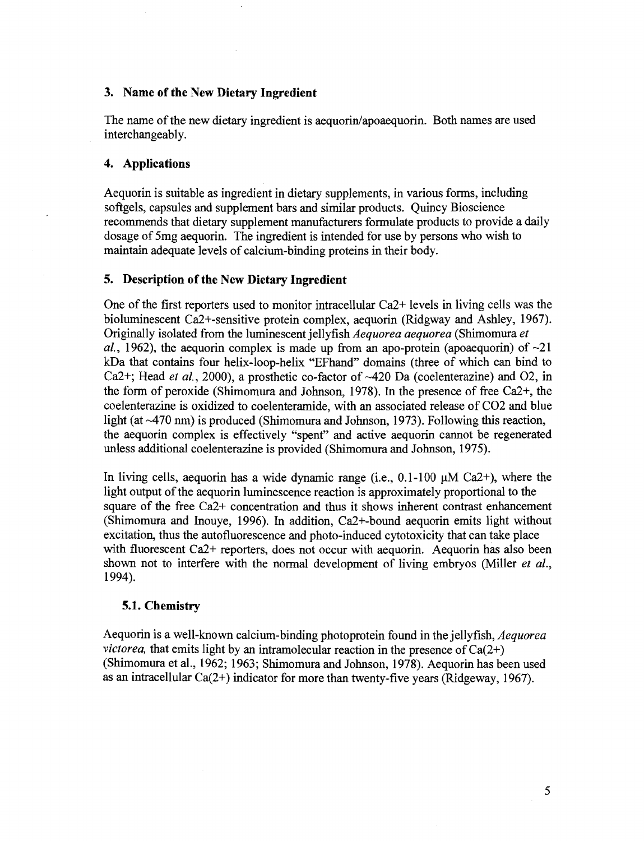### **3. Name of the New Dietary Ingredient**

The name of the new dietary ingredient is aequorin/apoaequorin. Both names are used interchangeably.

### **4. Applications**

Aequorin is suitable as ingredient in dietary supplements, in various forms, including softgels, capsules and supplement bars and similar products. Quincy Bioscience recommends that dietary supplement manufacturers formulate products to provide a daily dosage of 5mg aequorin. The ingredient is intended for use by persons who wish to maintain adequate levels of calcium-binding proteins in their body.

### **5. Description of the New Dietary Ingredient**

One of the first reporters used to monitor intracellular Ca2+ levels in living cells was the bioluminescent Ca2+-sensitive protein complex, aequorin (Ridgway and Ashley, 1967). Originally isolated from the luminescent jellyfish Aequorea aequorea (Shimomura et al., 1962), the aequorin complex is made up from an apo-protein (apoaequorin) of  $\sim$ 21 kDa that contains four helix-loop-helix "EFhand" domains (three of which can bind to Ca2+; Head *et al.*, 2000), a prosthetic co-factor of  $\sim$ 420 Da (coelenterazine) and O2, in the form of peroxide (Shimomura and Johnson, 1978). In the presence of free Ca2+, the coelenterazine is oxidized to coelenteramide, with an associated release of C02 and blue light (at  $\sim$ 470 nm) is produced (Shimomura and Johnson, 1973). Following this reaction, the aequorin complex is effectively "spent" and active aequorin cannot be regenerated unless additional coelenterazine is provided (Shimomura and Johnson, 1975).

In living cells, aequorin has a wide dynamic range (i.e.,  $0.1-100 \mu M$  Ca2+), where the light output of the aequorin luminescence reaction is approximately proportional to the square of the free Ca2+ concentration and thus it shows inherent contrast enhancement (Shimomura and Inouye, 1996). In addition, Ca2+-bound aequorin emits light without excitation, thus the autofluorescence and photo-induced cytotoxicity that can take place with fluorescent Ca2+ reporters, does not occur with aequorin. Aequorin has also been shown not to interfere with the normal development of living embryos (Miller *et al.*, 1 994).

## **5.1. Chemistry**

Aequorin is a well-known calcium-binding photoprotein found in the jellyfish, *Aequorea* victorea, that emits light by an intramolecular reaction in the presence of  $Ca(2+)$ (Shimomura et al., 1962; 1963; Shimomura and Johnson, 1978). Aequorin has been used as an intracellular Ca(2+) indicator for more than twenty-five years (Ridgeway, 1967).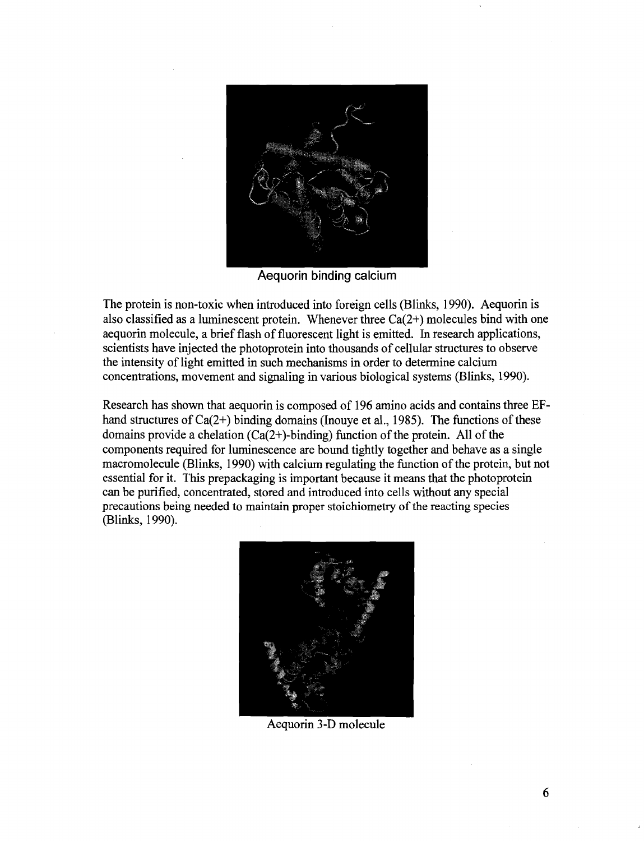

**Aequorin binding calciuni** 

The protein is non-toxic when introduced into foreign cells (Blinks, 1990). Aequorin is also classified as a luminescent protein. Whenever three  $Ca(2+)$  molecules bind with one aequorin molecule, a brief flash of fluorescent light is emitted. In research applications, scientists have injected the photoprotein into thousands of cellular structures to observe the intensity of light emitted in such mechanisms in order to determine calcium concentrations, movement and signaling in various biological systems (Blinks, 1990).

Research has shown that aequorin is composed of 196 amino acids and contains three EFhand structures of Ca(2+) binding domains (Inouve et al., 1985). The functions of these domains provide a chelation  $(Ca(2+)$ -binding) function of the protein. All of the components required for luminescence are bound tightly together and behave as a single macromolecule (Blinks, 1990) with calcium regulating the function of the protein, but not essential for it. This prepackaging is important because it means that the photoprotein can be purified, concentrated, stored and introduced into cells without any special precautions being needed to maintain proper stoichiometry of the reacting species (Blinks, 1990).



Aequorin 3-D molecule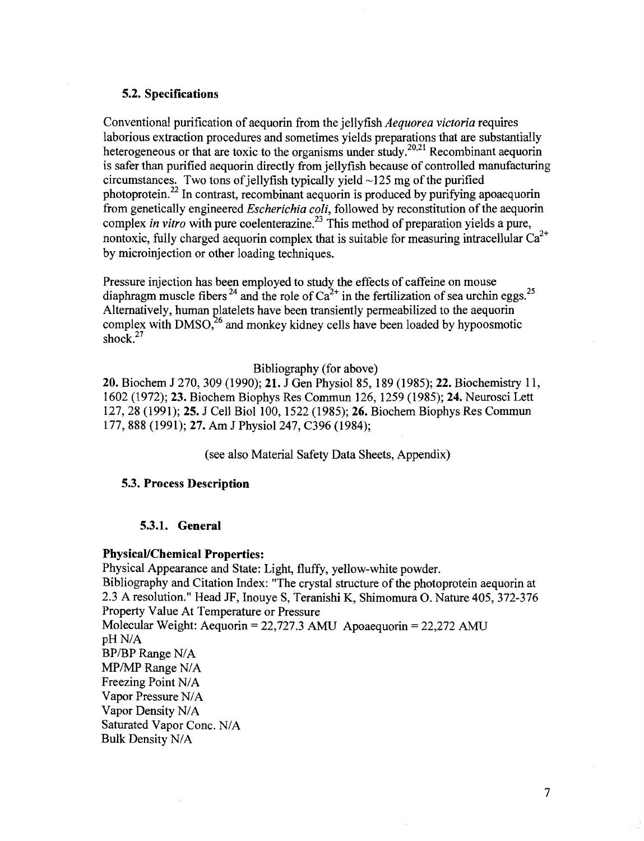### **5.2. Specifications**

Conventional purification of aequorin from the jellyfish Aequorea victoria requires laborious extraction procedures and sometimes yields preparations that are substantially heterogeneous or that are toxic to the organisms under study.<sup>20,21</sup> Recombinant aequorin is safer than purified aequorin directly from jellyfish because of controlled manufacturing circumstances. Two tons of jellyfish typically yield  $\sim$ 125 mg of the purified photoprotein.22 In contrast, recombinant aequorin is produced by purifying apoaequorin from genetically engineered Escherichia coli, followed by reconstitution of the aequorin complex *in vitro* with pure coelenterazine.<sup>23</sup> This method of preparation yields a pure, nontoxic, fully charged aequorin complex that is suitable for measuring intracellular  $Ca^{2+}$ by microinjection or other loading techniques.

Pressure injection has been employed to study the effects of caffeine on mouse diaphragm muscle fibers  $^{24}$  and the role of Ca<sup>2+</sup> in the fertilization of sea urchin eggs.<sup>25</sup> Alternatively, human platelets have been transiently permeabilized to the aequorin complex with DMSO,<sup>26</sup> and monkey kidney cells have been loaded by hypoosmotic shock.<sup>27</sup>

### Bibliography (for above)

**20.** Biochem **J** 270,309 (1990); **21.** J Gen Physiol 85, 189 (1985); **22.** Biochemistry 11, 1602 (1972); **23.** Biochem Biophys Res Cornmun 126, 1259 (1985); **24.** Neurosci Lett 127,28 (1991); **25.** J Cell Biol 100,1522 (1985); **26.** Biochem Biophys Res Cornmun 177, 888 (1991); 27. Am J Physiol 247, C396 (1984);

(see also Material Safety Data Sheets, Appendix)

#### **5.3. Process Description**

#### **5.3.1. General**

#### **PhysicaVChemical Properties:**

Physical Appearance and State: Light, fluffy, yellow-white powder. Bibliography and Citation Index: "The crystal structure of the photoprotein aequorin at 2.3 A resolution." Head JF, Inouye S, Teranishi K, Shimomura 0.Nature 405,372-376 Property Value At Temperature or Pressure Molecular Weight: Aequorin =22,727.3 **AMU** Apoaequorin =22,272 **AMU**  pH N/A BP/BP Range N/A MP/MP Range N/A Freezing Point N/A Vapor Pressure NIA Vapor Density NIA Saturated Vapor Conc. N/A Bulk Density NIA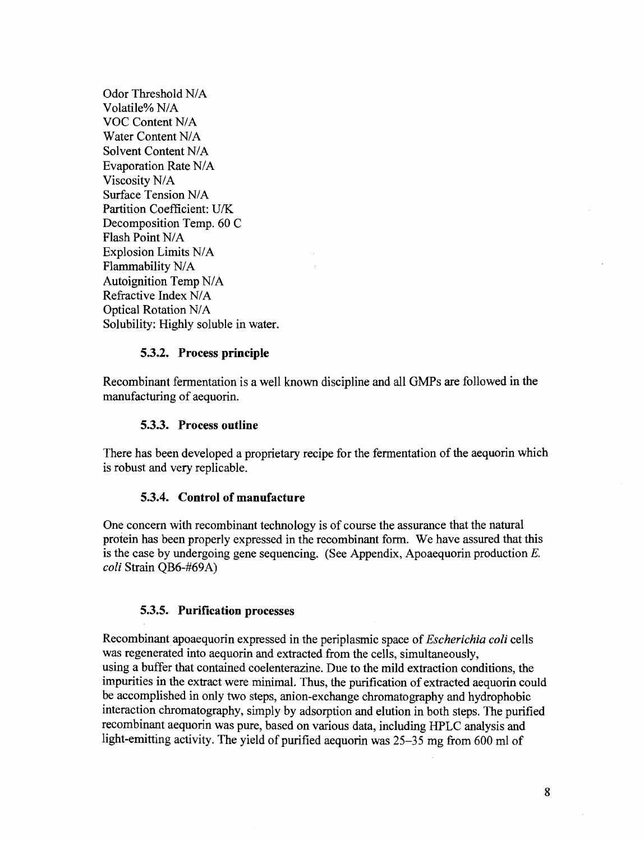Odor Threshold N/A Volatile% NIA VOC Content NIA Water Content N/A Solvent Content N/A Evaporation Rate N/A Viscosity NIA Surface Tension N/A Partition Coefficient: UK Decomposition Temp. 60 C Flash Point N/A Explosion Limits N/A Flammability N/A Autoignition Temp N/A Refractive Index N/A Optical Rotation N/A Solubility: Highly soluble in water.

#### **5.3.2. Process principle**

Recombinant fermentation is a well known discipline and all GMPs are followed in the manufacturing of aequorin.

#### **5.3.3. Process outline**

There has been developed a proprietary recipe for the fermentation of the aequorin which is robust and very replicable.

### **5.3.4. Control of manufacture**

One concern with recombinant technology is of course the assurance that the natural protein has been properly expressed in the recombinant form. We have assured that this is the case by undergoing gene sequencing. (See Appendix, Apoaequorin production *E. coli* Strain QB6-#69A)

#### **5.3.5. Purification processes**

Recombinant apoaequorin expressed in the periplasmic space of *Escherichia coli* cells was regenerated into aequorin and extracted from the cells, simultaneously, using a buffer that contained coelenterazine. Due to the mild extraction conditions, the impurities in the extract were minimal. Thus, the purification of extracted aequorin could be accomplished in only two steps, anion-exchange chromatography and hydrophobic interaction chromatography, simply by adsorption and elution in both steps. The purified recombinant aequorin was pure, based on various data, including HPLC analysis and light-emitting activity. The yield of purified aequorin was 25-35 mg from 600 ml of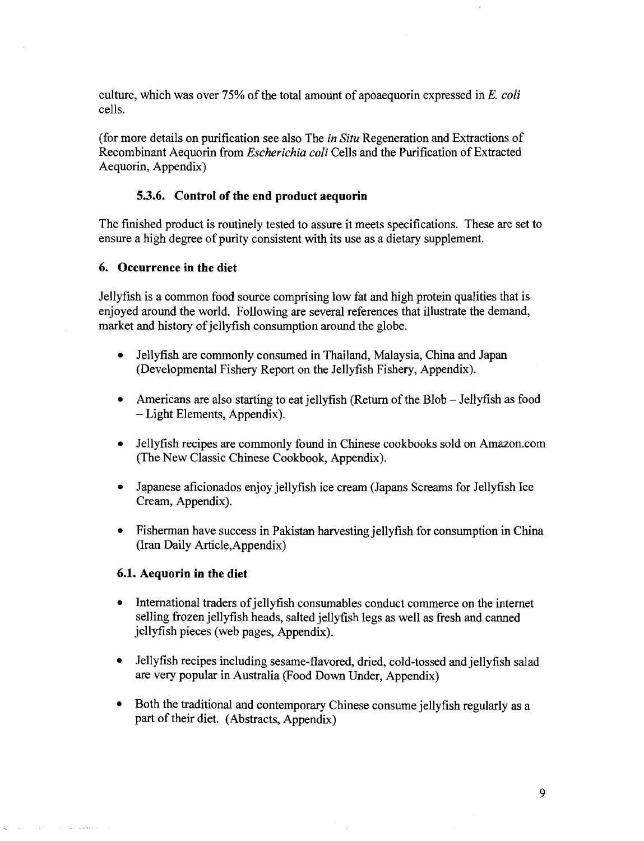culture, which was over *75%* of the total amount of apoaequorin expressed in E. *coli*  cells.

(for more details on purification see also The *in Situ* Regeneration and Extractions of Recombinant Aequorin from *Escherichia coli* Cells and the Purification of Extracted Aequorin, Appendix)

#### **5.3.6. Control of the end product aequorin**

The finished product is routinely tested to assure it meets specifications. These are set to ensure a high degree of purity consistent with its use as a dietary supplement.

#### **6. Occurrence in the diet**

Jellyfish is a common food source comprising low fat and high protein qualities that is enjoyed around the world. Following are several references that illustrate the demand, market and history of jellyfish consumption around the globe.

- $\bullet$ Jellyfish are commonly consumed in Thailand, Malaysia, China and Japan (Developmental Fishery Report on the Jellyfish Fishery, Appendix).
- $\bullet$ Americans are also starting to eat jellyfish (Return of the Blob - Jellyfish as food -Light Elements, Appendix).
- Jellyfish recipes are commonly found in Chinese cookbooks sold on Arnazon.com (The New Classic Chinese Cookbook, Appendix).
- Japanese aficionados enjoy jellyfish ice cream (Japans Screams for Jellyfish Ice Cream, Appendix).
- Fisherman have success in Pakistan harvesting jellyfish for consumption in China (Iran Daily Article,Appendix)

#### **6.1. Aequorin in the diet**

- International traders of jellyfish consumables conduct commerce on the internet selling frozen jellyfish heads, salted jellyfish legs as well as fresh and canned jellyfish pieces (web pages, Appendix).
- Jellyfish recipes including sesame-flavored, dried, cold-tossed andjellyfish salad  $\bullet$ are very popular in Australia (Food Down Under, Appendix)
- $\bullet$ Both the traditional and contemporary Chinese consume jellyfish regularly as a part of their diet. (Abstracts, Appendix)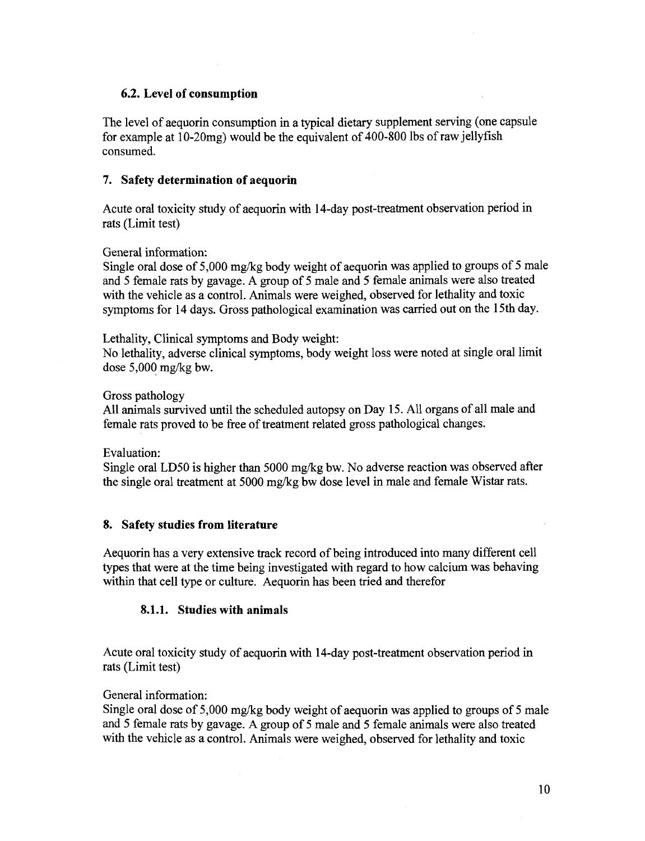## **6.2. Level of consumption**

The level of aequorin consumption in a typical dietary supplement serving (one capsule for example at 10-20mg) would be the equivalent of 400-800 lbs of raw jellyfish consumed.

## **7. Safety determination of aequorin**

Acute oral toxicity study of aequorin with 14-day post-treatment observation period in rats (Limit test)

General information:

Single oral dose of 5,000 mgkg body weight of aequorin was applied to groups of 5 male and 5 female rats by gavage. A group of 5 male and **5** female animals were also treated with the vehicle as a control. Animals were weighed, observed for lethality and toxic symptoms for 14 days. Gross pathological examination was carried out on the 15th day.

Lethality, Clinical symptoms and Body weight:

No lethality, adverse clinical symptoms, body weight loss were noted at single oral limit dose  $5,000$  mg/kg bw.

### Gross pathology

All animals survived until the scheduled autopsy on Day 15. All organs of all male and female rats proved to be free of treatment related gross pathological changes.

Evaluation:

Single oral LD50 is higher than  $5000$  mg/kg bw. No adverse reaction was observed after the single oral treatment at 5000 mgkg bw dose level in male and female Wistar rats.

## **8. Safety studies from literature**

Aequorin has a very extensive track record of being introduced into many different cell types that were at the time being investigated with regard to how calcium was behaving within that cell type or culture. Aequorin has been tried and therefor

## **8.1.1. Studies with animals**

Acute oral toxicity study of aequorin with 14-day post-treatment observation period in rats (Limit test)

## General information:

Single oral dose of 5,000 mgkg body weight of aequorin was applied to groups of 5 male and 5 female rats by gavage. **A** group of **5** male and 5 female animals were also treated with the vehicle as a control. Animals were weighed, observed for lethality and toxic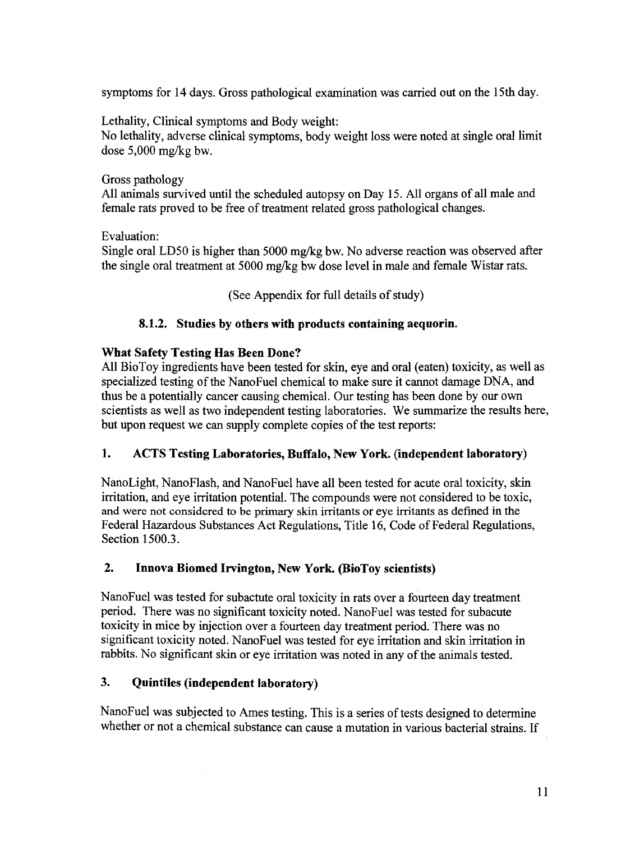symptoms for 14 days. Gross pathological examination was carried out on the 15th day.

Lethality, Clinical symptoms and Body weight: No lethality, adverse clinical symptoms, body weight loss were noted at single oral limit dose 5,000 mg/kg bw.

Gross pathology

All animals survived until the scheduled autopsy on Day 15. All organs of all male and female rats proved to be free of treatment related gross pathological changes.

Evaluation:

Single oral LD50 is higher than 5000 mg/kg bw. No adverse reaction was observed after the single oral treatment at 5000 mg/kg bw dose level in male and female Wistar rats.

(See Appendix for full details of study)

## **8.1.2. Studies by others with products containing aequorin.**

## **What Safety Testing Has Been Done?**

All BioToy ingredients have been tested for skin, eye and oral (eaten) toxicity, as well as specialized testing of the NanoFuel chemical to make sure it cannot damage DNA, and thus be a potentially cancer causing chemical. Our testing has been done by our own scientists as well as two independent testing laboratories. We summarize the results here, but upon request we can supply complete copies of the test reports:

## **1. ACTS Testing Laboratories, Buffalo, New York. (independent laboratory)**

NanoLight, NanoFlash, and NanoFuel have all been tested for acute oral toxicity, skin irritation, and eye irritation potential. The compounds were not considered to be toxic, and were not considered to be primary skin irritants or eye irritants as defined in the Federal Hazardous Substances Act Regulations, Title 16, Code of Federal Regulations, Section 1500.3.

## **2. Innova Biomed Irvington, New York. (BioToy scientists)**

NanoFuel was tested for subactute oral toxicity in rats over a fourteen day treatment period. There was no significant toxicity noted. NanoFuel was tested for subacute toxicity in mice by injection over a fourteen day treatment period. There was no significant toxicity noted. NanoFuel was tested for eye irritation and skin irritation in rabbits. No significant skin or eye irritation was noted in any of the animals tested.

## **3. Quintiles (independent laboratory)**

 $\mathcal{A}^{\mathcal{A}}$ 

NanoFuel was subjected to Ames testing. This is a series of tests designed to determine whether or not a chemical substance can cause a mutation in various bacterial strains. If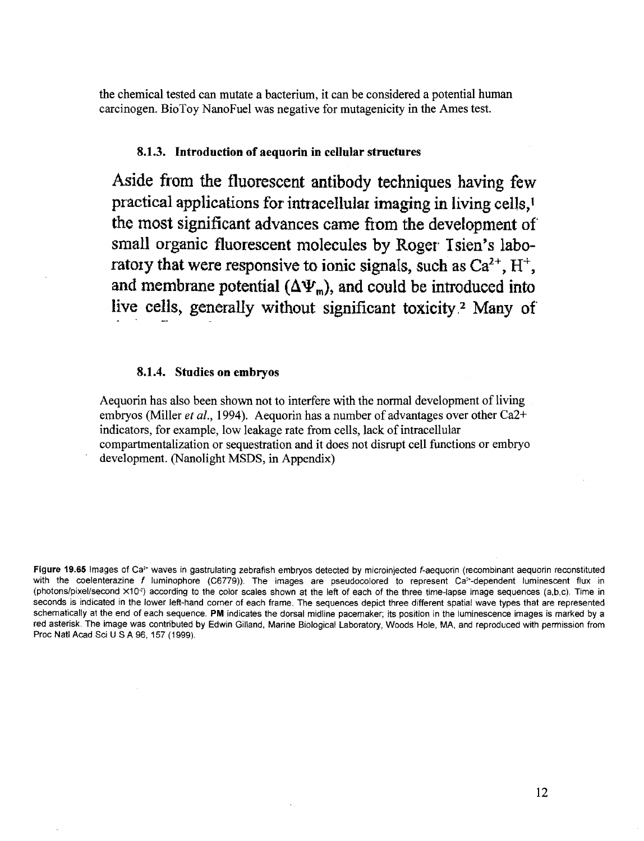the chemical tested can mutate a bacterium, it can be considered a potential human carcinogen. BioToy NanoFuel was negative for mutagenicity in the Ames test.

#### **8.1.3. Introduction of aequorin in cellular structures**

**Aside** from **the** fluorescent antibody **techniques having few**  practical applications for intracellular imaging in living cells,<sup>1</sup> the most significant **advances came** from **the development** of' small organic **fluorescent molecules by Roger.** Tsien's **labo**ratory that were responsive to ionic signals, such as  $Ca^{2+}$ ,  $H^+$ , and membrane potential  $(\Delta \Psi_m)$ , and could be introduced into live cells, generally without significant toxicity.<sup>2</sup> Many of

#### **8.1.4. Studies on embryos**

Aequorin has also been shown not to interfere with the normal development of living embryos (Miller *et al.,* 1994). Aequorin has a number of advantages over other Ca2+ indicators, for example, low leakage rate from cells, lack of intracellular compartmentalization or sequestration and it does not disrupt cell functions or embryo development. (Nanolight MSDS, in Appendix)

**Figure 19.65** Images of Ca2' waves in gastrulating zebrafish embryos detected by microinjected f-aequorin (recombinant aequorin reconstituted with the coelenterazine f luminophore (C6779)). The images are pseudocolored to represent Ca<sup>2</sup>-dependent luminescent flux in (photons/pixel/second  $\times$ 10<sup>-2</sup>) according to the color scales shown at the left of each of the three time-lapse image sequences (a,b,c). Time in seconds is indicated in the lower left-hand corner of each frame. The sequences depict three different spatial wave types that are represented schematically at the end of each sequence. **PM** indicates the dorsal midline pacemaker; its position in the luminescence images is marked by a red asterisk. The image was contributed by Edwin Gilland, Marine Biological Laboratory, Woods Hole. MA, and reproduced with permission from Proc Natl Acad Sci U S A 96, 157 (1999).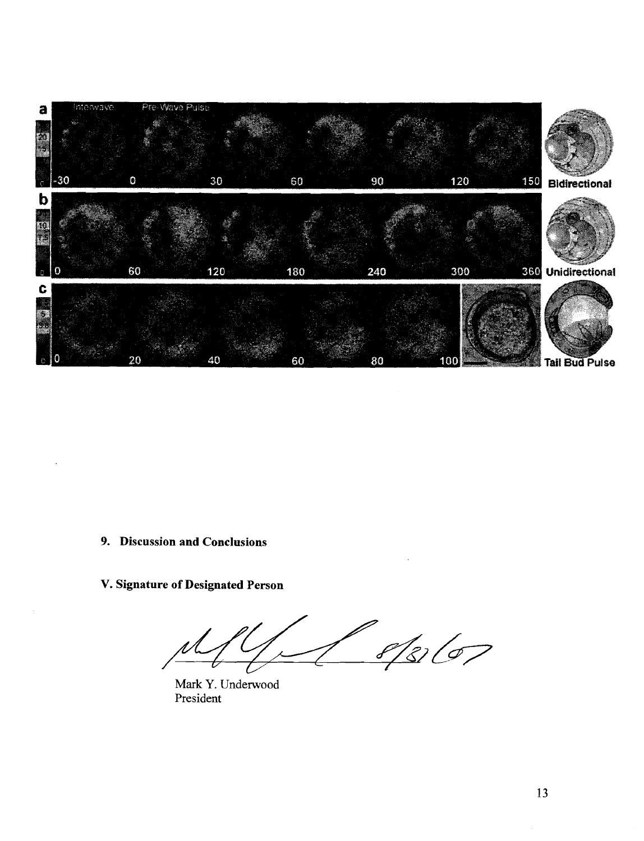

**9. Discussion and Conclusions** 

**V. Signature of Designated Person** 

D  $8/8/67$ 

Mark Y. Underwood President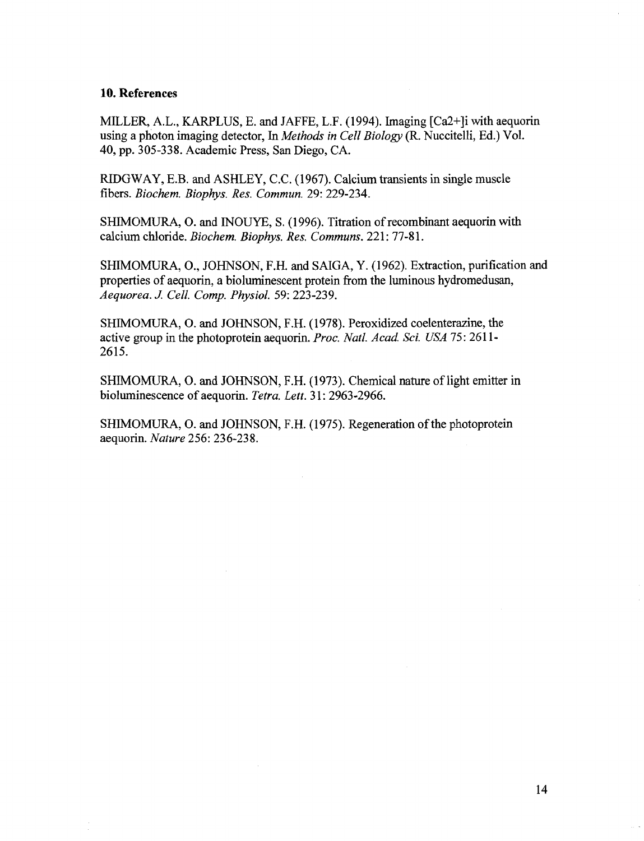#### **10. References**

MILLER, A.L., KARPLUS, E. and JAFFE, L.F. (1994). Imaging [Ca2+]i with aequorin using a photon imaging detector, In *Methods in Cell Biology* (R. Nuccitelli, Ed.) Vol. 40, pp. 305-338. Academic Press, San Diego, CA.

RIDGWAY, E.B. and ASHLEY, C.C. (1 967). Calcium transients in single muscle fibers. *Biochem. Biophys. Res. Commun.* 29: 229-234.

SHIMOMURA, 0.and INOUYE, S. (1996). Titration of recombinant aequorin with calcium chloride. *Biochem. Biophys. Res. Communs.* 221:77-8 1.

SHIMOMURA, O., JOHNSON, F.H. and SAIGA, Y. (1962). Extraction, purification and properties of aequorin, a bioluminescent protein from the luminous hydromedusan, *Aequorea. J Cell. Comp. Physiol.* 59: 223-239.

SHIMOMURA, 0.and JOHNSON, F.H. (1978). Peroxidized coelenterazine, the active group in the photoprotein aequorin. *Proc. Natl. Acad. Sci. USA* 75:2611-2615.

SHIMOMURA, O. and JOHNSON, F.H. (1973). Chemical nature of light emitter in bioluminescence of aequorin. *Tetra. Lett.* 31: 2963-2966.

SHIMOMURA, O. and JOHNSON, F.H. (1975). Regeneration of the photoprotein aequorin. *Nature* 256: 236-238.